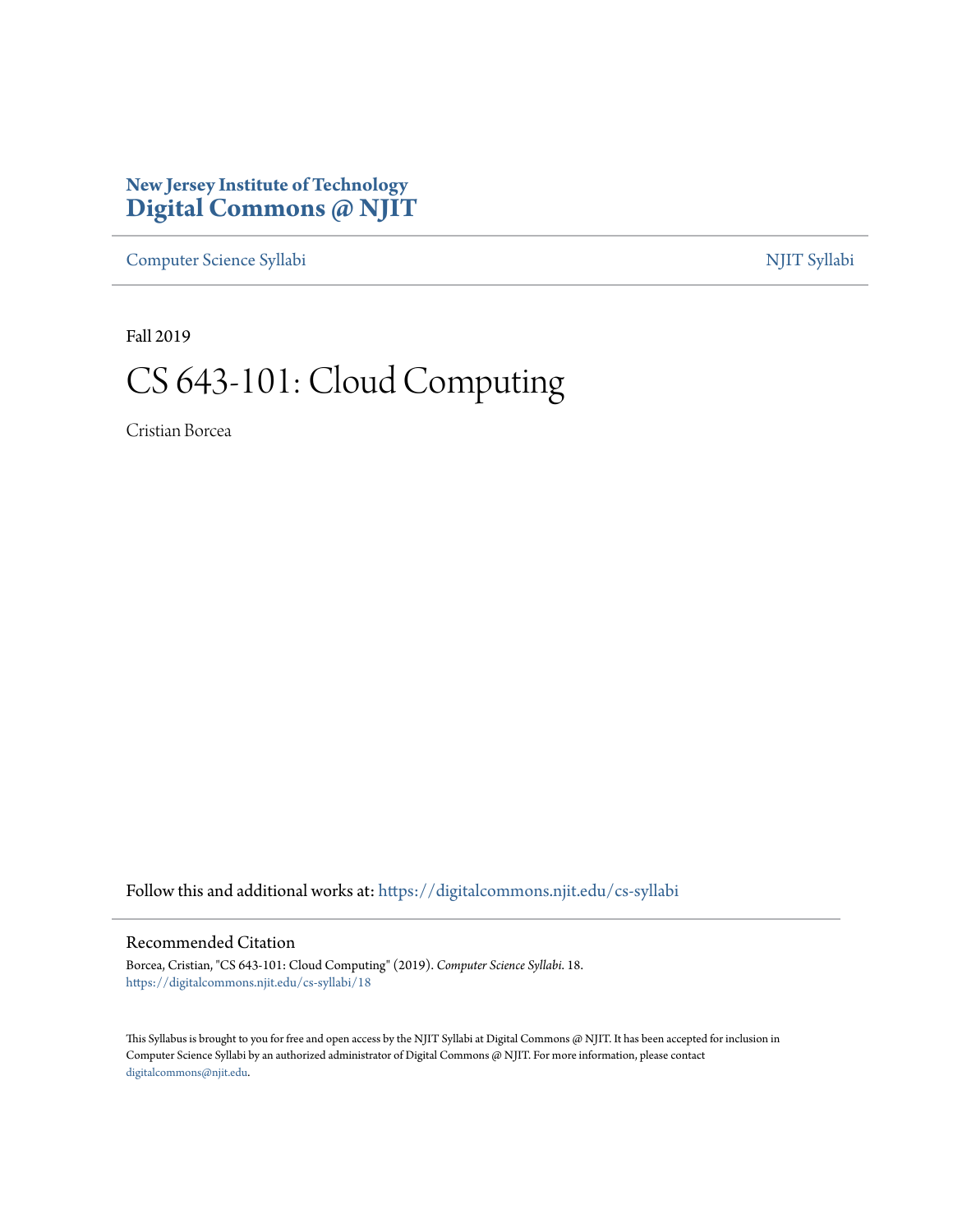#### **New Jersey Institute of Technology [Digital Commons @ NJIT](https://digitalcommons.njit.edu/?utm_source=digitalcommons.njit.edu%2Fcs-syllabi%2F18&utm_medium=PDF&utm_campaign=PDFCoverPages)**

[Computer Science Syllabi](https://digitalcommons.njit.edu/cs-syllabi?utm_source=digitalcommons.njit.edu%2Fcs-syllabi%2F18&utm_medium=PDF&utm_campaign=PDFCoverPages) [NJIT Syllabi](https://digitalcommons.njit.edu/syllabi?utm_source=digitalcommons.njit.edu%2Fcs-syllabi%2F18&utm_medium=PDF&utm_campaign=PDFCoverPages)

Fall 2019

# CS 643-101: Cloud Computing

Cristian Borcea

Follow this and additional works at: [https://digitalcommons.njit.edu/cs-syllabi](https://digitalcommons.njit.edu/cs-syllabi?utm_source=digitalcommons.njit.edu%2Fcs-syllabi%2F18&utm_medium=PDF&utm_campaign=PDFCoverPages)

#### Recommended Citation

Borcea, Cristian, "CS 643-101: Cloud Computing" (2019). *Computer Science Syllabi*. 18. [https://digitalcommons.njit.edu/cs-syllabi/18](https://digitalcommons.njit.edu/cs-syllabi/18?utm_source=digitalcommons.njit.edu%2Fcs-syllabi%2F18&utm_medium=PDF&utm_campaign=PDFCoverPages)

This Syllabus is brought to you for free and open access by the NJIT Syllabi at Digital Commons @ NJIT. It has been accepted for inclusion in Computer Science Syllabi by an authorized administrator of Digital Commons @ NJIT. For more information, please contact [digitalcommons@njit.edu](mailto:digitalcommons@njit.edu).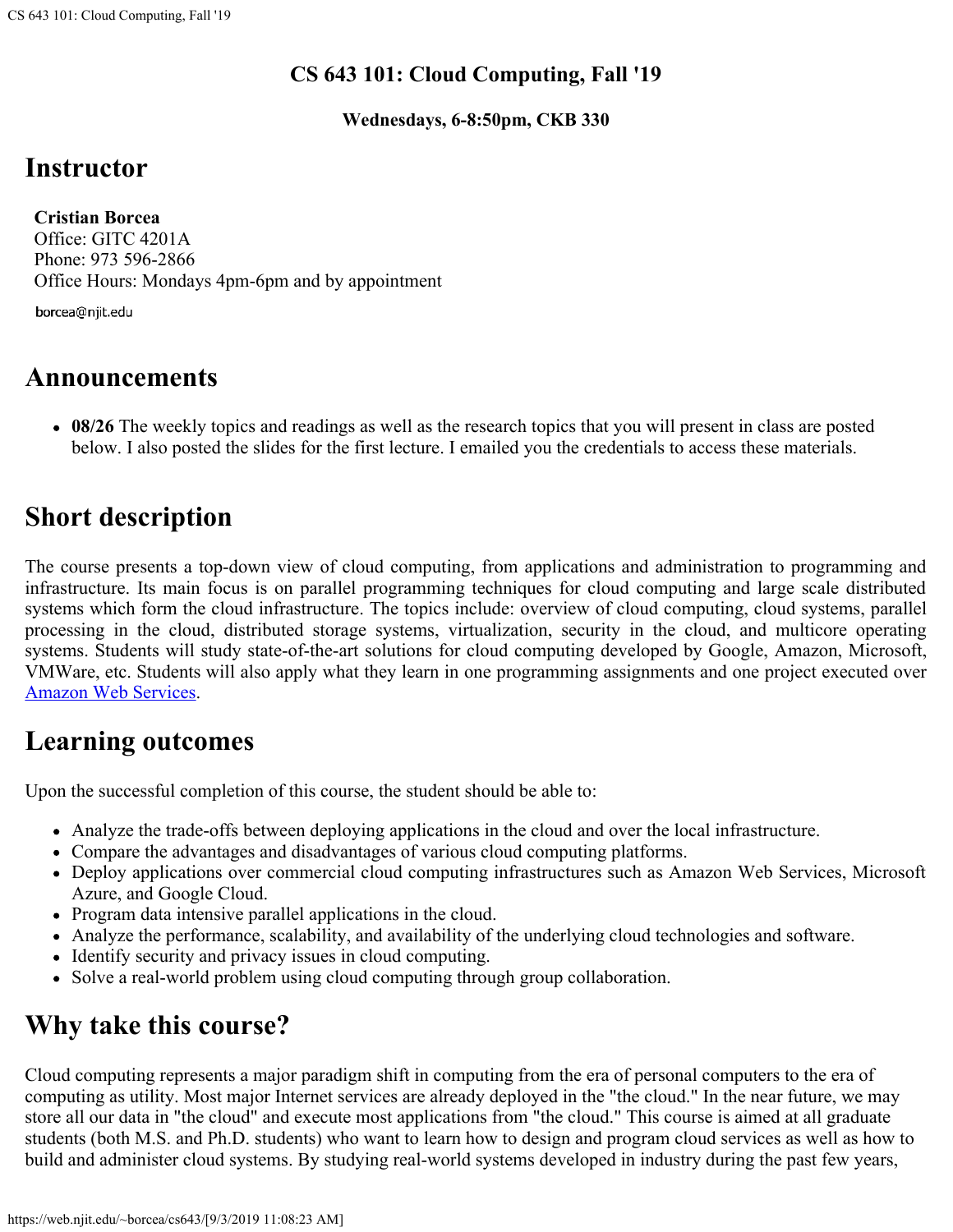#### **CS 643 101: Cloud Computing, Fall '19**

**Wednesdays, 6-8:50pm, CKB 330**

## **Instructor**

 **Cristian Borcea** Office: GITC 4201A Phone: 973 596-2866 Office Hours: Mondays 4pm-6pm and by appointment

borcea@njit.edu

#### **Announcements**

**08/26** The weekly topics and readings as well as the research topics that you will present in class are posted below. I also posted the slides for the first lecture. I emailed you the credentials to access these materials.

# **Short description**

The course presents a top-down view of cloud computing, from applications and administration to programming and infrastructure. Its main focus is on parallel programming techniques for cloud computing and large scale distributed systems which form the cloud infrastructure. The topics include: overview of cloud computing, cloud systems, parallel processing in the cloud, distributed storage systems, virtualization, security in the cloud, and multicore operating systems. Students will study state-of-the-art solutions for cloud computing developed by Google, Amazon, Microsoft, VMWare, etc. Students will also apply what they learn in one programming assignments and one project executed over [Amazon Web Services.](http://aws.amazon.com/)

#### **Learning outcomes**

Upon the successful completion of this course, the student should be able to:

- Analyze the trade-offs between deploying applications in the cloud and over the local infrastructure.
- Compare the advantages and disadvantages of various cloud computing platforms.
- Deploy applications over commercial cloud computing infrastructures such as Amazon Web Services, Microsoft Azure, and Google Cloud.
- Program data intensive parallel applications in the cloud.
- Analyze the performance, scalability, and availability of the underlying cloud technologies and software.
- Identify security and privacy issues in cloud computing.
- Solve a real-world problem using cloud computing through group collaboration.

# **Why take this course?**

Cloud computing represents a major paradigm shift in computing from the era of personal computers to the era of computing as utility. Most major Internet services are already deployed in the "the cloud." In the near future, we may store all our data in "the cloud" and execute most applications from "the cloud." This course is aimed at all graduate students (both M.S. and Ph.D. students) who want to learn how to design and program cloud services as well as how to build and administer cloud systems. By studying real-world systems developed in industry during the past few years,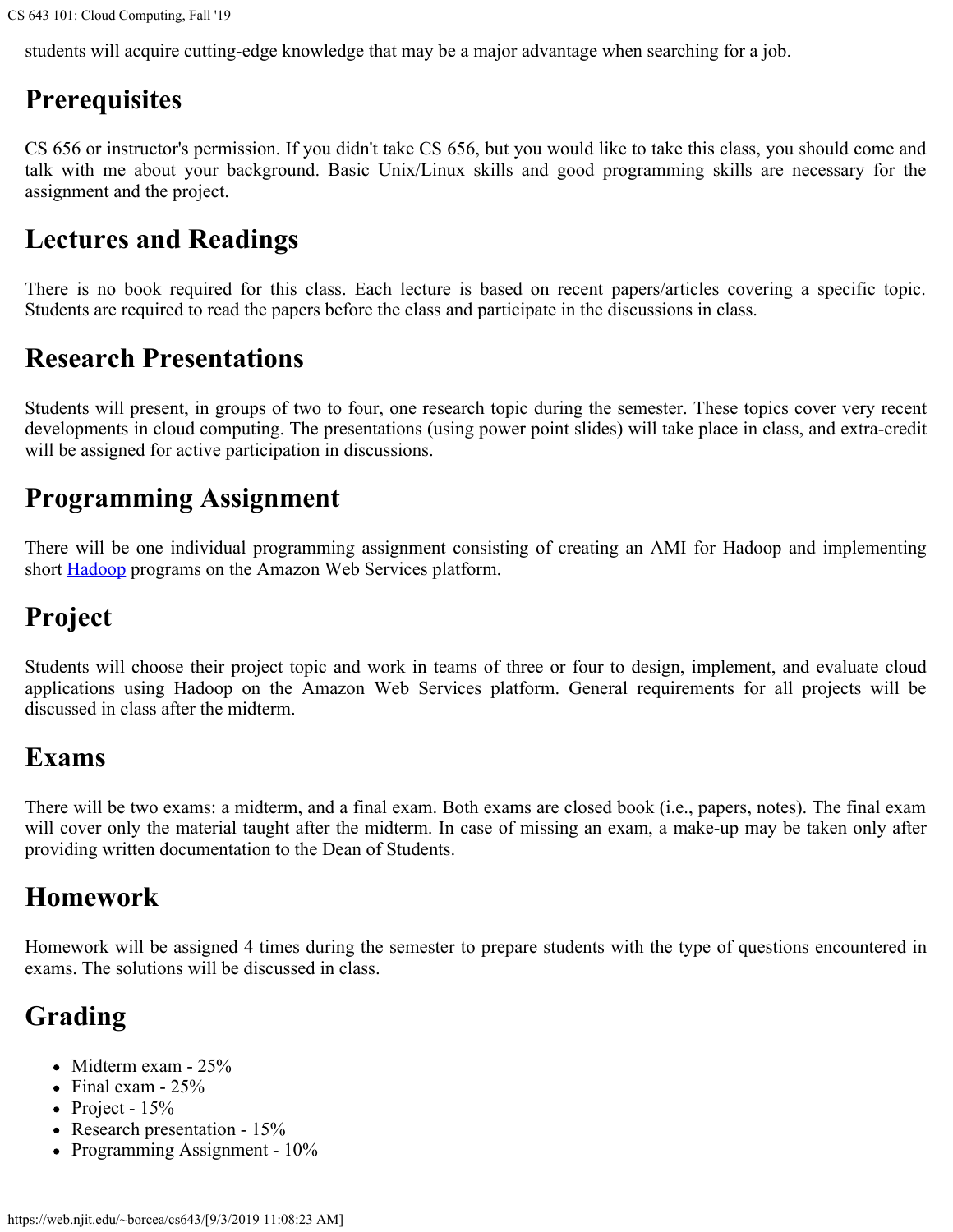students will acquire cutting-edge knowledge that may be a major advantage when searching for a job.

# **Prerequisites**

CS 656 or instructor's permission. If you didn't take CS 656, but you would like to take this class, you should come and talk with me about your background. Basic Unix/Linux skills and good programming skills are necessary for the assignment and the project.

#### **Lectures and Readings**

There is no book required for this class. Each lecture is based on recent papers/articles covering a specific topic. Students are required to read the papers before the class and participate in the discussions in class.

## **Research Presentations**

Students will present, in groups of two to four, one research topic during the semester. These topics cover very recent developments in cloud computing. The presentations (using power point slides) will take place in class, and extra-credit will be assigned for active participation in discussions.

#### **Programming Assignment**

There will be one individual programming assignment consisting of creating an AMI for Hadoop and implementing short **Hadoop** programs on the Amazon Web Services platform.

# **Project**

Students will choose their project topic and work in teams of three or four to design, implement, and evaluate cloud applications using Hadoop on the Amazon Web Services platform. General requirements for all projects will be discussed in class after the midterm.

### **Exams**

There will be two exams: a midterm, and a final exam. Both exams are closed book (i.e., papers, notes). The final exam will cover only the material taught after the midterm. In case of missing an exam, a make-up may be taken only after providing written documentation to the Dean of Students.

### **Homework**

Homework will be assigned 4 times during the semester to prepare students with the type of questions encountered in exams. The solutions will be discussed in class.

# **Grading**

- Midterm exam 25%
- $\bullet$  Final exam 25%
- Project  $15%$
- Research presentation 15%
- Programming Assignment  $10\%$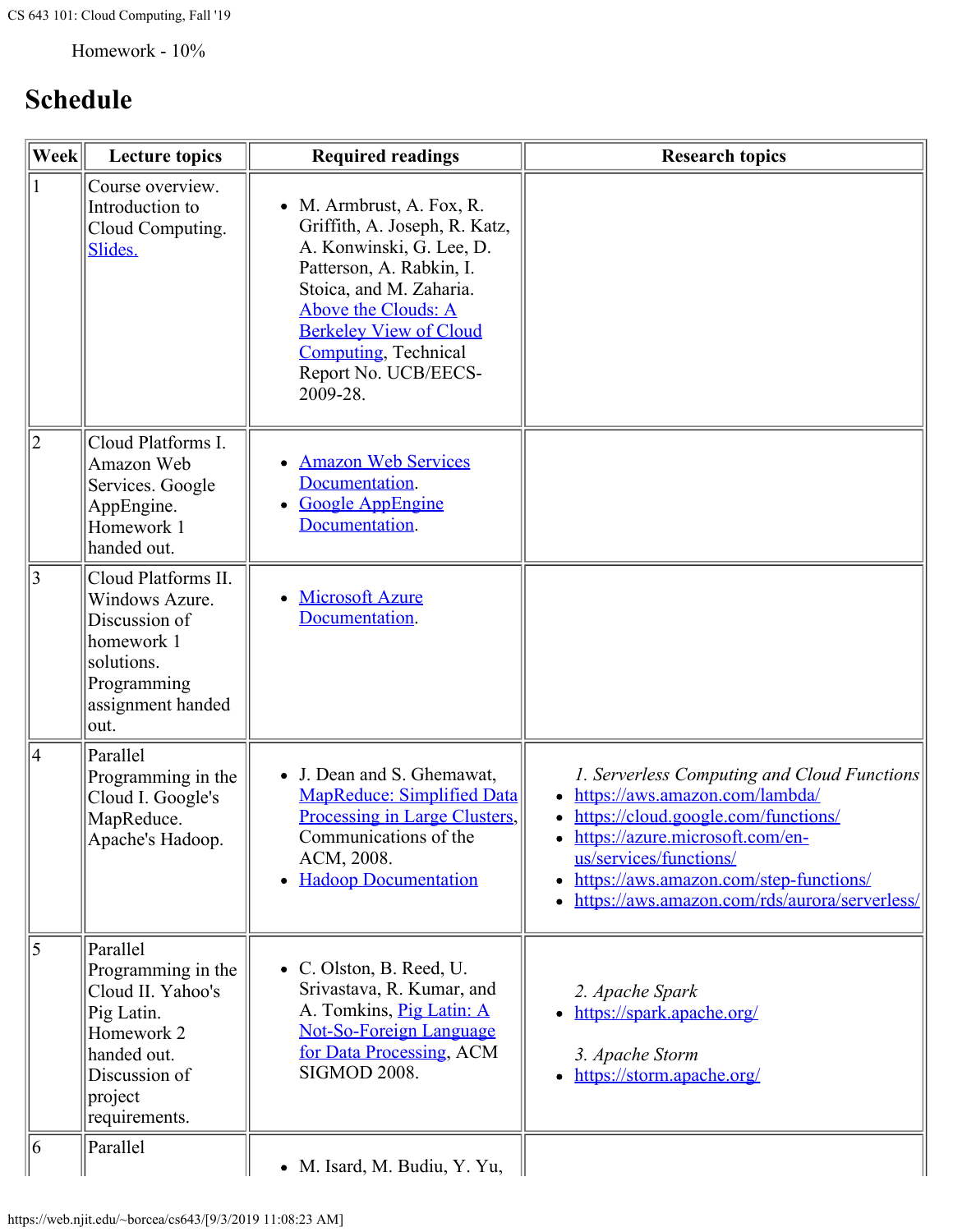Homework - 10%

# **Schedule**

| $\left\Vert \mathbf{Wek}\right\Vert$ | <b>Lecture topics</b>                                                                                                                       | <b>Required readings</b>                                                                                                                                                                                                                                                  | <b>Research topics</b>                                                                                                                                                                                                                                                       |
|--------------------------------------|---------------------------------------------------------------------------------------------------------------------------------------------|---------------------------------------------------------------------------------------------------------------------------------------------------------------------------------------------------------------------------------------------------------------------------|------------------------------------------------------------------------------------------------------------------------------------------------------------------------------------------------------------------------------------------------------------------------------|
|                                      | Course overview.<br>Introduction to<br>Cloud Computing.<br>Slides.                                                                          | • M. Armbrust, A. Fox, R.<br>Griffith, A. Joseph, R. Katz,<br>A. Konwinski, G. Lee, D.<br>Patterson, A. Rabkin, I.<br>Stoica, and M. Zaharia.<br>Above the Clouds: A<br><b>Berkeley View of Cloud</b><br><b>Computing</b> , Technical<br>Report No. UCB/EECS-<br>2009-28. |                                                                                                                                                                                                                                                                              |
| $ 2\rangle$                          | Cloud Platforms I.<br>Amazon Web<br>Services. Google<br>AppEngine.<br>Homework 1<br>handed out.                                             | • Amazon Web Services<br>Documentation.<br><b>Google AppEngine</b><br>Documentation.                                                                                                                                                                                      |                                                                                                                                                                                                                                                                              |
| $ 3\rangle$                          | Cloud Platforms II.<br>Windows Azure.<br>Discussion of<br>homework 1<br>solutions.<br>Programming<br>assignment handed<br>out.              | <b>Microsoft Azure</b><br>Documentation.                                                                                                                                                                                                                                  |                                                                                                                                                                                                                                                                              |
| 4                                    | Parallel<br>Programming in the<br>Cloud I. Google's<br>MapReduce.<br>Apache's Hadoop.                                                       | • J. Dean and S. Ghemawat,<br><b>MapReduce: Simplified Data</b><br>Processing in Large Clusters,<br>Communications of the<br>ACM, 2008.<br>• Hadoop Documentation                                                                                                         | 1. Serverless Computing and Cloud Functions<br>https://aws.amazon.com/lambda/<br>https://cloud.google.com/functions/<br>https://azure.microsoft.com/en-<br>us/services/functions/<br>https://aws.amazon.com/step-functions/<br>https://aws.amazon.com/rds/aurora/serverless/ |
| $\overline{5}$                       | Parallel<br>Programming in the<br>Cloud II. Yahoo's<br>Pig Latin.<br>Homework 2<br>handed out.<br>Discussion of<br>project<br>requirements. | • C. Olston, B. Reed, U.<br>Srivastava, R. Kumar, and<br>A. Tomkins, Pig Latin: A<br><b>Not-So-Foreign Language</b><br>for Data Processing, ACM<br><b>SIGMOD 2008.</b>                                                                                                    | 2. Apache Spark<br>• https://spark.apache.org/<br>3. Apache Storm<br>• https://storm.apache.org/                                                                                                                                                                             |
| 6                                    | Parallel                                                                                                                                    | • M. Isard, M. Budiu, Y. Yu,                                                                                                                                                                                                                                              |                                                                                                                                                                                                                                                                              |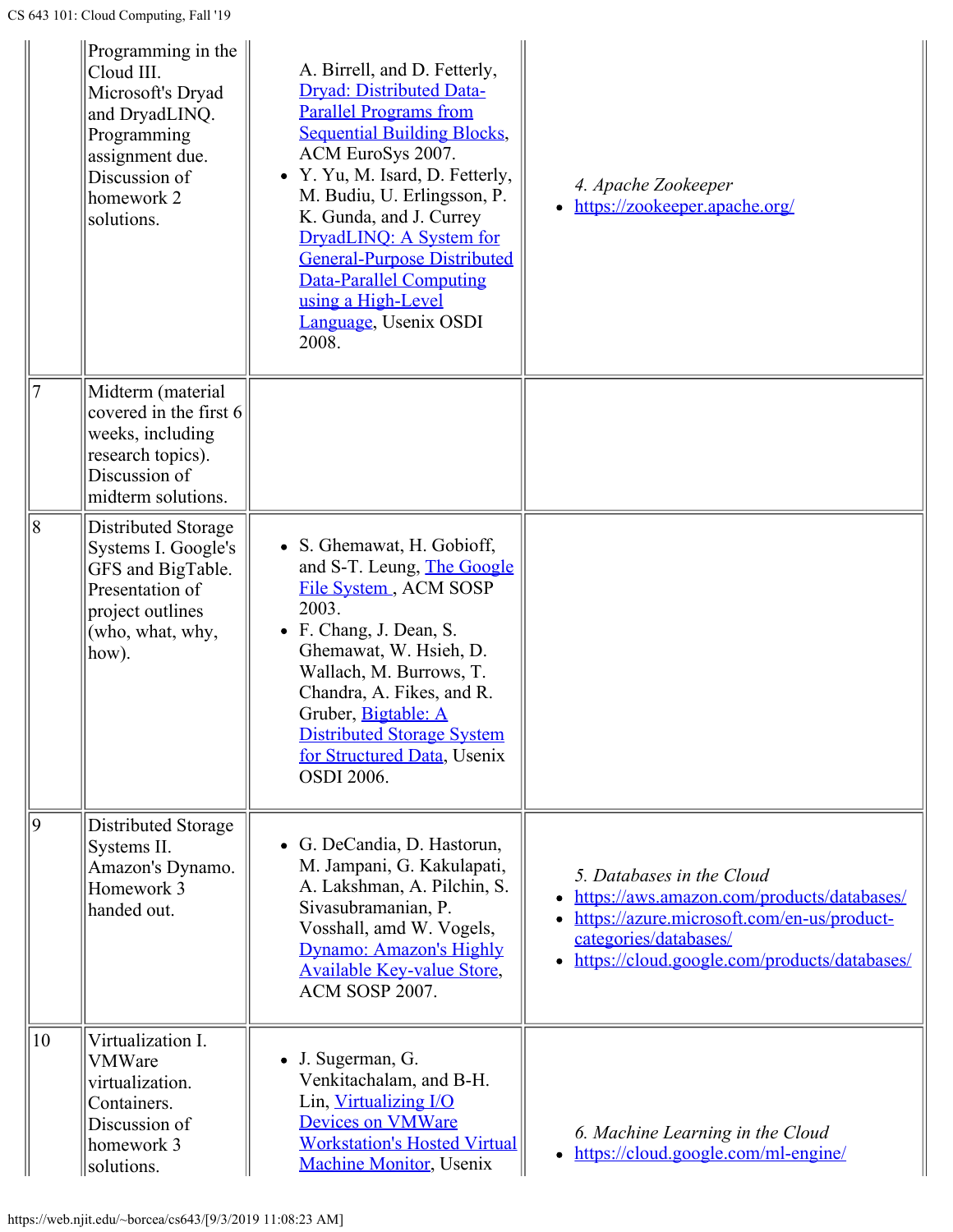|    | Programming in the $\parallel$<br>Cloud III.<br>Microsoft's Dryad<br>and DryadLINQ.<br>Programming<br>assignment due.<br>Discussion of<br>homework 2<br>solutions. | A. Birrell, and D. Fetterly,<br>Dryad: Distributed Data-<br><b>Parallel Programs from</b><br><b>Sequential Building Blocks,</b><br>ACM EuroSys 2007.<br>• Y. Yu, M. Isard, D. Fetterly,<br>M. Budiu, U. Erlingsson, P.<br>K. Gunda, and J. Currey<br>DryadLINQ: A System for<br><b>General-Purpose Distributed</b><br><b>Data-Parallel Computing</b><br>using a High-Level<br>Language, Usenix OSDI<br>2008. | 4. Apache Zookeeper<br>• https://zookeeper.apache.org/                                                                                                                                                      |
|----|--------------------------------------------------------------------------------------------------------------------------------------------------------------------|--------------------------------------------------------------------------------------------------------------------------------------------------------------------------------------------------------------------------------------------------------------------------------------------------------------------------------------------------------------------------------------------------------------|-------------------------------------------------------------------------------------------------------------------------------------------------------------------------------------------------------------|
|    | Midterm (material<br>covered in the first 6<br>weeks, including<br>research topics).<br>Discussion of<br>midterm solutions.                                        |                                                                                                                                                                                                                                                                                                                                                                                                              |                                                                                                                                                                                                             |
| 8  | Distributed Storage<br>Systems I. Google's<br>GFS and BigTable.<br>Presentation of<br>project outlines<br>(who, what, why,<br>how).                                | S. Ghemawat, H. Gobioff,<br>and S-T. Leung, The Google<br>File System, ACM SOSP<br>2003.<br>F. Chang, J. Dean, S.<br>Ghemawat, W. Hsieh, D.<br>Wallach, M. Burrows, T.<br>Chandra, A. Fikes, and R.<br>Gruber, Bigtable: A<br><b>Distributed Storage System</b><br>for Structured Data, Usenix<br><b>OSDI 2006.</b>                                                                                          |                                                                                                                                                                                                             |
| 9  | Distributed Storage<br>Systems II.<br>Amazon's Dynamo.<br>Homework 3<br>handed out.                                                                                | • G. DeCandia, D. Hastorun,<br>M. Jampani, G. Kakulapati,<br>A. Lakshman, A. Pilchin, S.<br>Sivasubramanian, P.<br>Vosshall, amd W. Vogels,<br>Dynamo: Amazon's Highly<br><b>Available Key-value Store,</b><br>ACM SOSP 2007.                                                                                                                                                                                | 5. Databases in the Cloud<br>https://aws.amazon.com/products/databases/<br>https://azure.microsoft.com/en-us/product-<br>categories/databases/<br>https://cloud.google.com/products/databases/<br>$\bullet$ |
| 10 | Virtualization I.<br><b>VMWare</b><br>virtualization.<br>Containers.<br>Discussion of<br>homework 3<br>solutions.                                                  | J. Sugerman, G.<br>Venkitachalam, and B-H.<br>Lin, Virtualizing I/O<br><b>Devices on VMWare</b><br><b>Workstation's Hosted Virtual</b><br><b>Machine Monitor</b> , Usenix                                                                                                                                                                                                                                    | 6. Machine Learning in the Cloud<br>• https://cloud.google.com/ml-engine/                                                                                                                                   |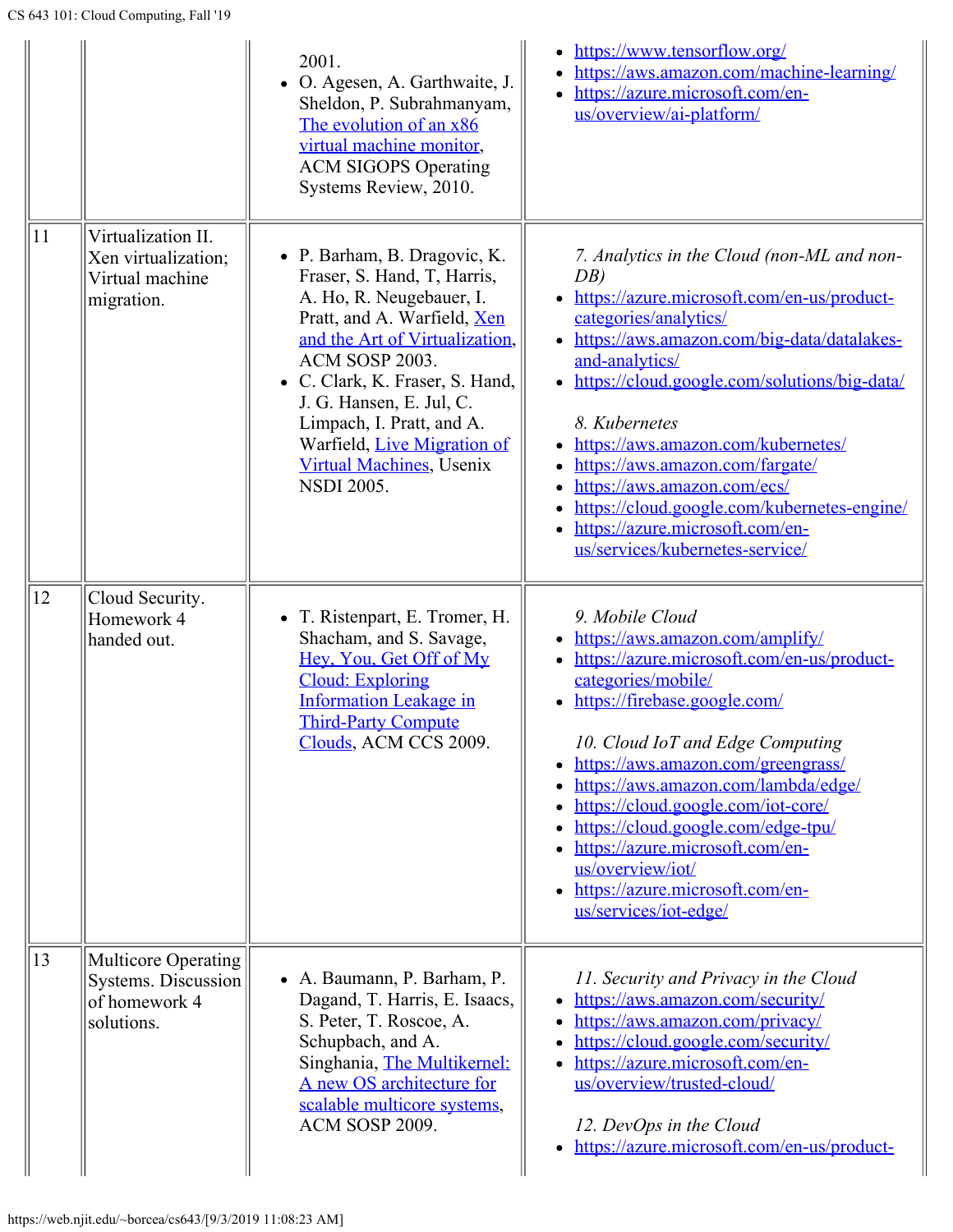|              |                                                                            | 2001.<br>• O. Agesen, A. Garthwaite, J.<br>Sheldon, P. Subrahmanyam,<br>The evolution of an x86<br>virtual machine monitor,<br><b>ACM SIGOPS Operating</b><br>Systems Review, 2010.                                                                                                                                                                            | https://www.tensorflow.org/<br>$\bullet$<br>https://aws.amazon.com/machine-learning/<br>$\bullet$<br>https://azure.microsoft.com/en-<br>us/overview/ai-platform/                                                                                                                                                                                                                                                                                                                                                                            |
|--------------|----------------------------------------------------------------------------|----------------------------------------------------------------------------------------------------------------------------------------------------------------------------------------------------------------------------------------------------------------------------------------------------------------------------------------------------------------|---------------------------------------------------------------------------------------------------------------------------------------------------------------------------------------------------------------------------------------------------------------------------------------------------------------------------------------------------------------------------------------------------------------------------------------------------------------------------------------------------------------------------------------------|
| 11           | Virtualization II.<br>Xen virtualization;<br>Virtual machine<br>migration. | • P. Barham, B. Dragovic, K.<br>Fraser, S. Hand, T. Harris,<br>A. Ho, R. Neugebauer, I.<br>Pratt, and A. Warfield, Xen<br>and the Art of Virtualization.<br>ACM SOSP 2003.<br>• C. Clark, K. Fraser, S. Hand,<br>J. G. Hansen, E. Jul, C.<br>Limpach, I. Pratt, and A.<br>Warfield, Live Migration of<br><b>Virtual Machines</b> , Usenix<br><b>NSDI 2005.</b> | 7. Analytics in the Cloud (non-ML and non-<br>DB<br>https://azure.microsoft.com/en-us/product-<br>categories/analytics/<br>• https://aws.amazon.com/big-data/datalakes-<br>and-analytics/<br>https://cloud.google.com/solutions/big-data/<br>$\bullet$<br>8. Kubernetes<br>https://aws.amazon.com/kubernetes/<br>$\bullet$<br>https://aws.amazon.com/fargate/<br>$\bullet$<br>https://aws.amazon.com/ecs/<br>$\bullet$<br>https://cloud.google.com/kubernetes-engine/<br>https://azure.microsoft.com/en-<br>us/services/kubernetes-service/ |
| 12           | Cloud Security.<br>Homework 4<br>handed out.                               | • T. Ristenpart, E. Tromer, H.<br>Shacham, and S. Savage,<br>Hey, You, Get Off of My<br><b>Cloud: Exploring</b><br><b>Information Leakage in</b><br><b>Third-Party Compute</b><br>Clouds, ACM CCS 2009.                                                                                                                                                        | 9. Mobile Cloud<br>https://aws.amazon.com/amplify/<br>https://azure.microsoft.com/en-us/product-<br>$\bullet$<br>categories/mobile/<br>https://firebase.google.com/<br>10. Cloud IoT and Edge Computing<br>https://aws.amazon.com/greengrass/<br>https://aws.amazon.com/lambda/edge/<br>https://cloud.google.com/iot-core/<br>https://cloud.google.com/edge-tpu/<br>https://azure.microsoft.com/en-<br>us/overview/iot/<br>https://azure.microsoft.com/en-<br>us/services/iot-edge/                                                         |
| $ 13\rangle$ | Multicore Operating<br>Systems. Discussion<br>of homework 4<br>solutions.  | • A. Baumann, P. Barham, P.<br>Dagand, T. Harris, E. Isaacs,<br>S. Peter, T. Roscoe, A.<br>Schupbach, and A.<br>Singhania, The Multikernel:<br>A new OS architecture for<br>scalable multicore systems,<br>ACM SOSP 2009.                                                                                                                                      | 11. Security and Privacy in the Cloud<br>https://aws.amazon.com/security/<br>https://aws.amazon.com/privacy/<br>https://cloud.google.com/security/<br>https://azure.microsoft.com/en-<br>$\bullet$<br>us/overview/trusted-cloud/<br>12. DevOps in the Cloud<br>https://azure.microsoft.com/en-us/product-<br>$\bullet$                                                                                                                                                                                                                      |